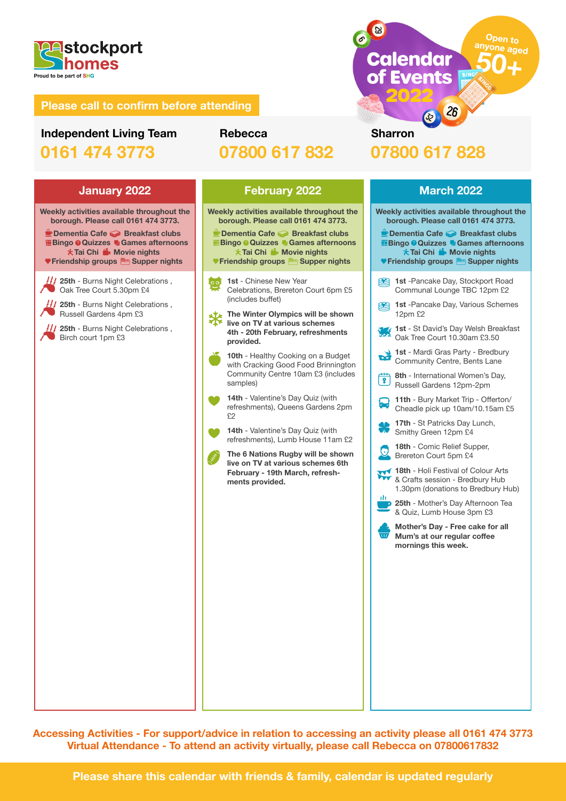

# **Independent Living Team 0161 474 3773**

# **Rebecca 07800 617 832**

**Weekly activities available throughout the borough. Please call 0161 474 3773.**

 **Dementia Cafe Breakfast clubs Bingo O Quizzes <sup>1</sup> Games afternoons** *i***f** Tai Chi ii. Movie nights  **Friendship groups Supper nights**

**25th** - Burns Night Celebrations ,  $\blacksquare$ Oak Tree Court 5.30pm £4

**25th - Burns Night Celebrations**, Russell Gardens 4pm £3

**25th** - Burns Night Celebrations , Birch court 1pm £3

**Weekly activities available throughout the borough. Please call 0161 474 3773.**

 **Dementia Cafe Breakfast clubs Bingo O Quizzes D Games afternoons Tai Chi ik Movie nights Friendship groups Supper nights**

**1st** - Chinese New Year Celebrations, Brereton Court 6pm £5 (includes buffet)

**The Winter Olympics will be shown live on TV at various schemes 4th - 20th February, refreshments provided.**

**10th** - Healthy Cooking on a Budget with Cracking Good Food Brinnington Community Centre 10am £3 (includes samples)

**14th** - Valentine's Day Quiz (with refreshments), Queens Gardens 2pm £2

**14th** - Valentine's Day Quiz (with refreshments), Lumb House 11am £2

**The 6 Nations Rugby will be shown live on TV at various schemes 6th February - 19th March, refreshments provided.**

 $\sqrt{26}$ **Sharron 07800 617 828**

**Calendar** 

of Events

Open to

ne aged

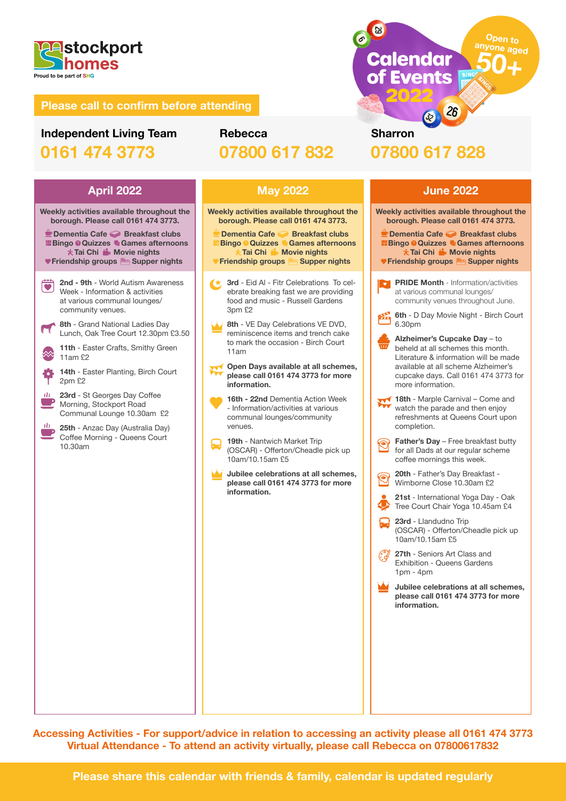

# **Independent Living Team 0161 474 3773**

# **Rebecca 07800 617 832**



 **\* Tai Chi ii.** Movie nights **V Friendship groups <b>Supper** nights

- **2nd 9th**  World Autism Awareness  $\dddot{\bullet}$ Week - Information & activities at various communal lounges/ community venues.
- 8th Grand National Ladies Day Lunch, Oak Tree Court 12.30pm £3.50
- **11th**  Easter Crafts, Smithy Green 11am £2
- **14th**  Easter Planting, Birch Court 2pm £2
- **23rd** St Georges Day Coffee Morning, Stockport Road Communal Lounge 10.30am £2
- **25th** Anzac Day (Australia Day) Coffee Morning - Queens Court 10.30am



**Weekly activities available throughout the borough. Please call 0161 474 3773.**

 **Dementia Cafe Breakfast clubs Bingo Quizzes Games afternoons Tai Chi Movie nights Friendship groups** 

**3rd** - Eid Al - Fitr Celebrations To celebrate breaking fast we are providing food and music - Russell Gardens 3pm  $$2$ 

- **8th** VE Day Celebrations VE DVD, reminiscence items and trench cake to mark the occasion - Birch Court 11am
- **Open Days available at all schemes, please call 0161 474 3773 for more information.**

**16th - 22nd** Dementia Action Week - Information/activities at various communal lounges/community venues.

**19th** - Nantwich Market Trip (OSCAR) - Offerton/Cheadle pick up 10am/10.15am £5

**Jubilee celebrations at all schemes, please call 0161 474 3773 for more information.**

**Sharron 07800 617 828**

 $\sqrt{26}$ 

**Calendar** 

of Events

Open to

ne aged

63

## **April 2022 May 2022 June 2022 Weekly activities available throughout the borough. Please call 0161 474 3773.** *<b>PDementia Cafe → Breakfast clubs* **Bingo O Quizzes <sup>a</sup> Games afternoons Tai Chi in Movie nights Friendship groups Supper nightsPRIDE Month - Information/activities** at various communal lounges/ community venues throughout June. **6th** - D Day Movie Night - Birch Court 6.30pm **Alzheimer's Cupcake Day** – to beheld at all schemes this month. Literature & information will be made available at all scheme Alzheimer's cupcake days. Call 0161 474 3773 for more information. **18th - Marple Carnival – Come and** watch the parade and then enjoy refreshments at Queens Court upon completion. **Father's Day** – Free breakfast butty  $\circledcirc$ for all Dads at our regular scheme coffee mornings this week. **20th** - Father's Day Breakfast - Wimborne Close 10.30am £2 **21st** - International Yoga Day - Oak Tree Court Chair Yoga 10.45am £4 **23rd** - Llandudno Trip (OSCAR) - Offerton/Cheadle pick up 10am/10.15am £5 **27th** - Seniors Art Class and Exhibition - Queens Gardens 1pm - 4pm **Jubilee celebrations at all schemes, please call 0161 474 3773 for more information.**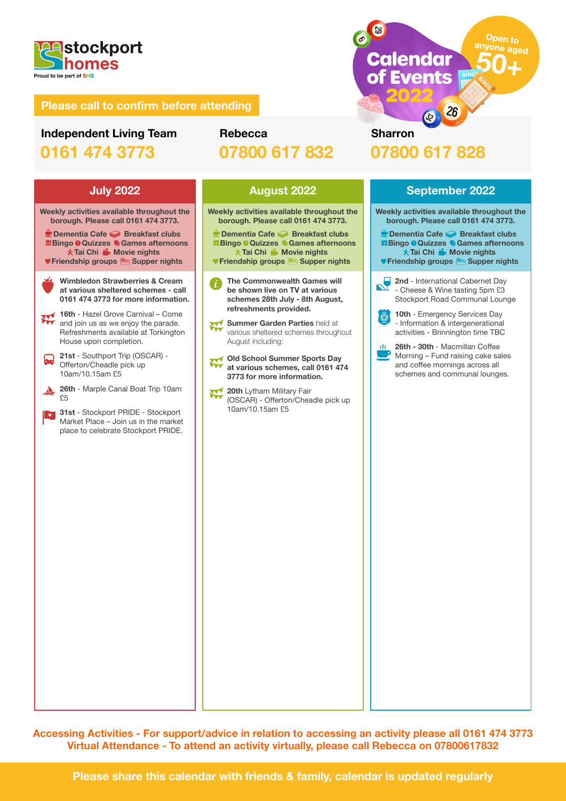

# **Independent Living Team 0161 474 3773**

# **Rebecca 07800 617 832**

# **Sharron 07800 617 828**

**Calendar** 

of Events

**83**  $\sigma$ 

**Weekly activities available throughout the borough. Please call 0161 474 3773. Dementia Cafe Breakfast clubs**

**Bingo O Quizzes D Games afternoons \* Tai Chi ii.** Movie nights  **Friendship groups Supper nights**

**Wimbledon Strawberries & Cream at various sheltered schemes - call 0161 474 3773 for more information.**

**16th** - Hazel Grove Carnival – Come and join us as we enjoy the parade. Refreshments available at Torkington House upon completion.

- **21st** Southport Trip (OSCAR) Offerton/Cheadle pick up 10am/10.15am £5
- **26th** Marple Canal Boat Trip 10am  $\blacktriangleright$ £5

**31st** - Stockport PRIDE - Stockport  $\overline{\phantom{a}}$ Market Place – Join us in the market place to celebrate Stockport PRIDE.

**Weekly activities available throughout the borough. Please call 0161 474 3773.**

■ Dementia Cafe **Breakfast clubs Bingo Quizzes Games afternoons Tai Chi in Movie nights V Friendship groups Supper nights** 

**The Commonwealth Games will be shown live on TV at various schemes 28th July - 8th August, refreshments provided.**

**Summer Garden Parties** held at various sheltered schemes throughout August including:

**Old School Summer Sports Day at various schemes, call 0161 474 3773 for more information.**

**20th Lytham Military Fair** (OSCAR) - Offerton/Cheadle pick up 10am/10.15am £5

 $\sqrt{26}$ 

Open to

<sup>ne</sup> aged

# **July 2022 August 2022 September 2022 Weekly activities available throughout the borough. Please call 0161 474 3773.** *P* **Dementia Cafe Sereakfast clubs Bingo Quizzes Games afternoons Tai Chi in Movie nights V** Friendship groups **state** Supper nights **2nd** - International Cabernet Day - Cheese & Wine tasting 5pm £3 Stockport Road Communal Lounge **10th** - Emergency Services Day  $\overline{\bigcirc}$ - Information & intergenerational activities - Brinnington time TBC **26th - 30th** - Macmillan Coffee Morning – Fund raising cake sales and coffee mornings across all schemes and communal lounges.